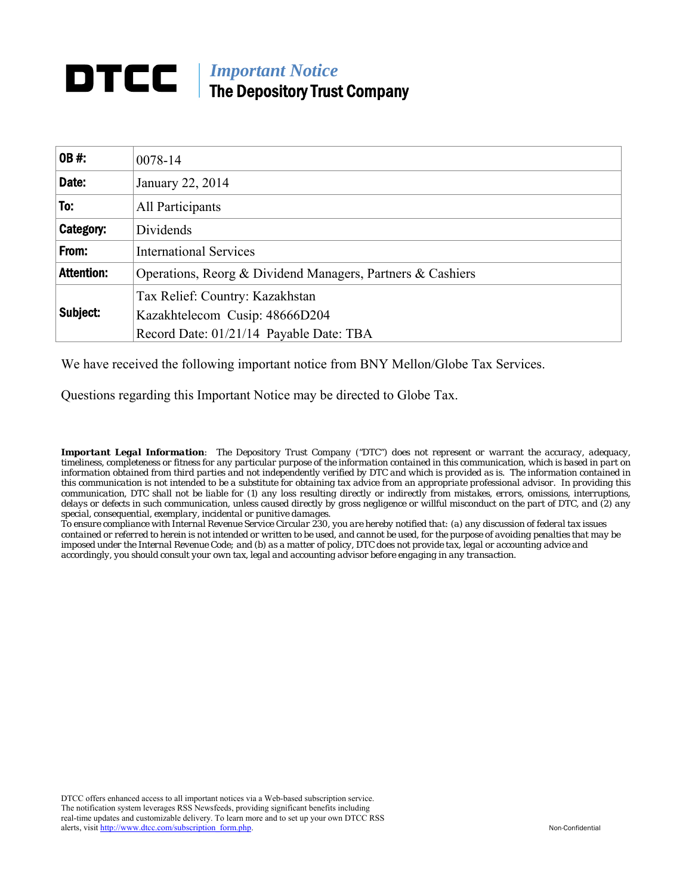# **DTCC** | *Important Notice* The Depository Trust Company

| <b>OB#:</b>       |                                                            |
|-------------------|------------------------------------------------------------|
|                   | 0078-14                                                    |
| Date:             | January 22, 2014                                           |
| To:               | All Participants                                           |
| Category:         | Dividends                                                  |
| From:             | <b>International Services</b>                              |
| <b>Attention:</b> | Operations, Reorg & Dividend Managers, Partners & Cashiers |
|                   | Tax Relief: Country: Kazakhstan                            |
| Subject:          | Kazakhtelecom Cusip: 48666D204                             |
|                   | Record Date: 01/21/14 Payable Date: TBA                    |

We have received the following important notice from BNY Mellon/Globe Tax Services.

Questions regarding this Important Notice may be directed to Globe Tax.

*Important Legal Information: The Depository Trust Company ("DTC") does not represent or warrant the accuracy, adequacy, timeliness, completeness or fitness for any particular purpose of the information contained in this communication, which is based in part on information obtained from third parties and not independently verified by DTC and which is provided as is. The information contained in this communication is not intended to be a substitute for obtaining tax advice from an appropriate professional advisor. In providing this communication, DTC shall not be liable for (1) any loss resulting directly or indirectly from mistakes, errors, omissions, interruptions, delays or defects in such communication, unless caused directly by gross negligence or willful misconduct on the part of DTC, and (2) any special, consequential, exemplary, incidental or punitive damages.* 

*To ensure compliance with Internal Revenue Service Circular 230, you are hereby notified that: (a) any discussion of federal tax issues contained or referred to herein is not intended or written to be used, and cannot be used, for the purpose of avoiding penalties that may be imposed under the Internal Revenue Code; and (b) as a matter of policy, DTC does not provide tax, legal or accounting advice and accordingly, you should consult your own tax, legal and accounting advisor before engaging in any transaction.*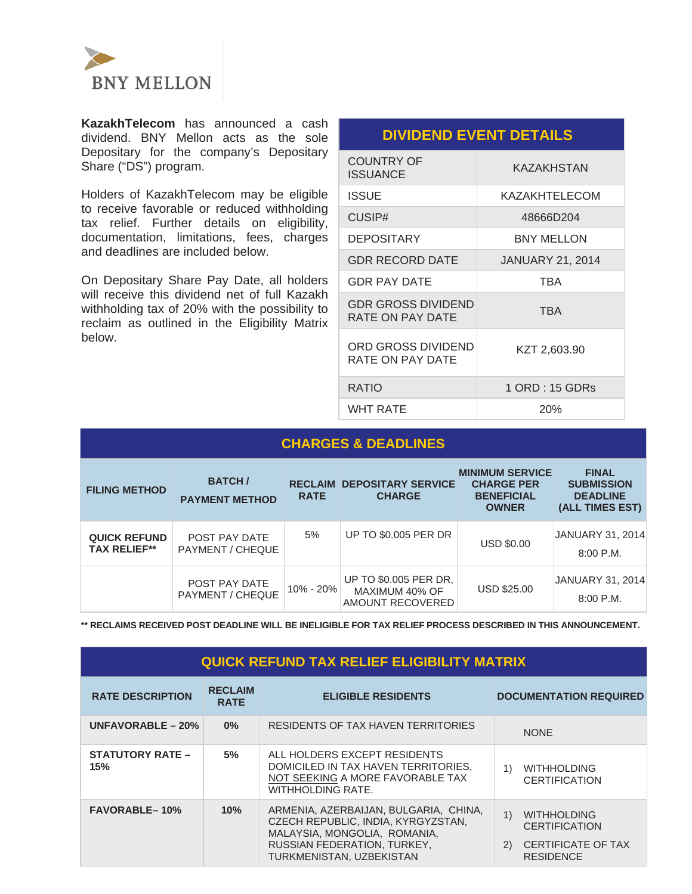

**KazakhTelecom** has announced a cash dividend. BNY Mellon acts as the sole Depositary for the company's Depositary Share ("DS") program.

Holders of KazakhTelecom may be eligible to receive favorable or reduced withholding tax relief. Further details on eligibility, documentation, limitations, fees, charges and deadlines are included below.

On Depositary Share Pay Date, all holders will receive this dividend net of full Kazakh withholding tax of 20% with the possibility to reclaim as outlined in the Eligibility Matrix below.

## **DIVIDEND EVENT DETAILS**

| COUNTRY OF<br><b>ISSUANCE</b>                 | KAZAKHSTAN              |
|-----------------------------------------------|-------------------------|
| ISSUE                                         | KAZAKHTELECOM           |
| CUSIP#                                        | 48666D204               |
| <b>DEPOSITARY</b>                             | <b>BNY MELLON</b>       |
| <b>GDR RECORD DATE</b>                        | <b>JANUARY 21, 2014</b> |
| <b>GDR PAY DATE</b>                           | <b>TBA</b>              |
| <b>GDR GROSS DIVIDEND</b><br>RATE ON PAY DATE | <b>TBA</b>              |
| ORD GROSS DIVIDEND<br>RATE ON PAY DATE        | KZT 2,603.90            |
| <b>RATIO</b>                                  | 1 ORD : 15 GDRs         |
| WHT RATE                                      | 20%                     |

| <b>CHARGES &amp; DEADLINES</b>             |                                          |                               |                                                                    |                                                                                  |                                                                         |  |  |
|--------------------------------------------|------------------------------------------|-------------------------------|--------------------------------------------------------------------|----------------------------------------------------------------------------------|-------------------------------------------------------------------------|--|--|
| <b>FILING METHOD</b>                       | <b>BATCH/</b><br><b>PAYMENT METHOD</b>   | <b>RECLAIM</b><br><b>RATE</b> | <b>DEPOSITARY SERVICE</b><br><b>CHARGE</b>                         | <b>MINIMUM SERVICE</b><br><b>CHARGE PER</b><br><b>BENEFICIAL</b><br><b>OWNER</b> | <b>FINAL</b><br><b>SUBMISSION</b><br><b>DEADLINE</b><br>(ALL TIMES EST) |  |  |
| <b>QUICK REFUND</b><br><b>TAX RELIEF**</b> | POST PAY DATE<br>PAYMENT / CHEQUE        | 5%                            | UP TO \$0.005 PER DR                                               | <b>USD \$0.00</b>                                                                | JANUARY 31, 2014<br>$8:00$ P.M.                                         |  |  |
|                                            | <b>POST PAY DATE</b><br>PAYMENT / CHEQUE | 10% - 20%                     | <b>UP TO \$0.005 PER DR.</b><br>MAXIMUM 40% OF<br>AMOUNT RECOVERED | <b>USD \$25.00</b>                                                               | JANUARY 31, 2014<br>$8:00$ P.M.                                         |  |  |

**\*\* RECLAIMS RECEIVED POST DEADLINE WILL BE INELIGIBLE FOR TAX RELIEF PROCESS DESCRIBED IN THIS ANNOUNCEMENT.** 

# **QUICK REFUND TAX RELIEF ELIGIBILITY MATRIX**

| <b>RATE DESCRIPTION</b>        | <b>RECLAIM</b><br><b>RATE</b> | <b>ELIGIBLE RESIDENTS</b>                                                                                                                                              | <b>DOCUMENTATION REQUIRED</b>                                                                            |
|--------------------------------|-------------------------------|------------------------------------------------------------------------------------------------------------------------------------------------------------------------|----------------------------------------------------------------------------------------------------------|
| UNFAVORABLE $-20%$             | $0\%$                         | RESIDENTS OF TAX HAVEN TERRITORIES                                                                                                                                     | <b>NONE</b>                                                                                              |
| <b>STATUTORY RATE –</b><br>15% | 5%                            | ALL HOLDERS EXCEPT RESIDENTS<br>DOMICILED IN TAX HAVEN TERRITORIES.<br>NOT SEEKING A MORE FAVORABLE TAX<br>WITHHOLDING RATE.                                           | 1)<br><b>WITHHOLDING</b><br><b>CERTIFICATION</b>                                                         |
| <b>FAVORABLE-10%</b>           | 10%                           | ARMENIA, AZERBAIJAN, BULGARIA, CHINA,<br>CZECH REPUBLIC, INDIA, KYRGYZSTAN,<br>MALAYSIA, MONGOLIA, ROMANIA,<br>RUSSIAN FEDERATION, TURKEY,<br>TURKMENISTAN, UZBEKISTAN | 1)<br><b>WITHHOLDING</b><br><b>CERTIFICATION</b><br><b>CERTIFICATE OF TAX</b><br>(2)<br><b>RESIDENCE</b> |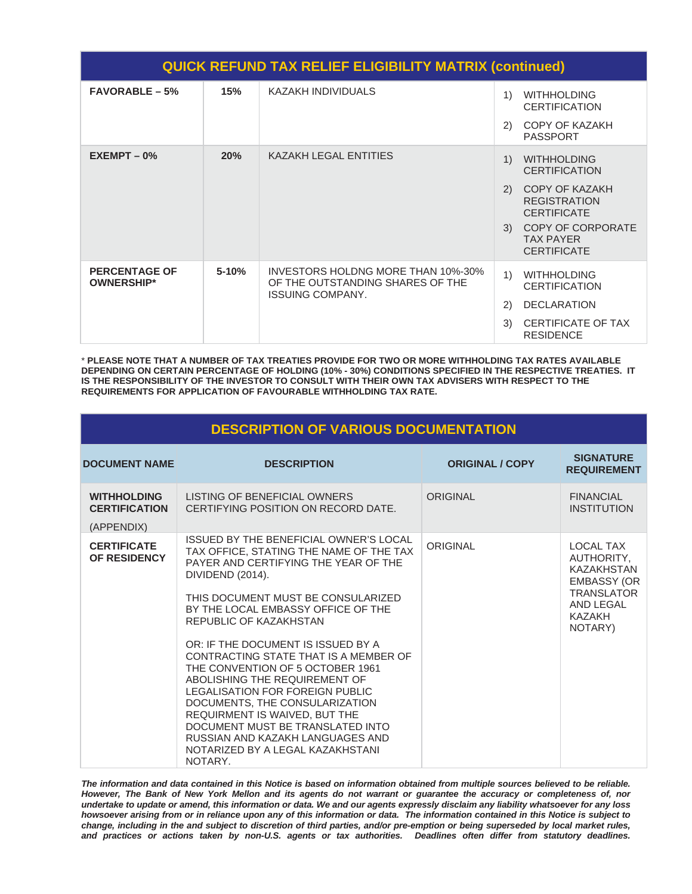| <b>QUICK REFUND TAX RELIEF ELIGIBILITY MATRIX (continued)</b> |           |                                                                                                   |                                                |                                                                    |  |  |
|---------------------------------------------------------------|-----------|---------------------------------------------------------------------------------------------------|------------------------------------------------|--------------------------------------------------------------------|--|--|
| <b>FAVORABLE - 5%</b>                                         | 15%       | <b>KAZAKH INDIVIDUALS</b>                                                                         | 1)<br>2)                                       | <b>WITHHOLDING</b><br><b>CERTIFICATION</b><br>COPY OF KAZAKH       |  |  |
|                                                               |           |                                                                                                   |                                                | <b>PASSPORT</b>                                                    |  |  |
| $EXEMENT - 0%$                                                | 20%       | KAZAKH LEGAL ENTITIES                                                                             | $\left( \begin{matrix} 1 \end{matrix} \right)$ | <b>WITHHOLDING</b><br><b>CERTIFICATION</b>                         |  |  |
|                                                               |           |                                                                                                   | (2)                                            | <b>COPY OF KAZAKH</b><br><b>REGISTRATION</b><br><b>CERTIFICATE</b> |  |  |
|                                                               |           |                                                                                                   |                                                | 3) COPY OF CORPORATE<br><b>TAX PAYER</b><br><b>CERTIFICATE</b>     |  |  |
| <b>PERCENTAGE OF</b><br><b>OWNERSHIP*</b>                     | $5 - 10%$ | INVESTORS HOLDNG MORE THAN 10%-30%<br>OF THE OUTSTANDING SHARES OF THE<br><b>ISSUING COMPANY.</b> | 1)                                             | <b>WITHHOLDING</b><br><b>CERTIFICATION</b>                         |  |  |
|                                                               |           |                                                                                                   | (2)                                            | <b>DECLARATION</b>                                                 |  |  |
|                                                               |           |                                                                                                   | 3)                                             | CERTIFICATE OF TAX<br><b>RESIDENCE</b>                             |  |  |

\* **PLEASE NOTE THAT A NUMBER OF TAX TREATIES PROVIDE FOR TWO OR MORE WITHHOLDING TAX RATES AVAILABLE DEPENDING ON CERTAIN PERCENTAGE OF HOLDING (10% - 30%) CONDITIONS SPECIFIED IN THE RESPECTIVE TREATIES. IT IS THE RESPONSIBILITY OF THE INVESTOR TO CONSULT WITH THEIR OWN TAX ADVISERS WITH RESPECT TO THE REQUIREMENTS FOR APPLICATION OF FAVOURABLE WITHHOLDING TAX RATE.**

| <b>DESCRIPTION OF VARIOUS DOCUMENTATION</b>              |                                                                                                                                                                                                                                                                                                                                                                                                                                                                                                                                                                                                                                      |                        |                                                                                                                                         |  |  |  |
|----------------------------------------------------------|--------------------------------------------------------------------------------------------------------------------------------------------------------------------------------------------------------------------------------------------------------------------------------------------------------------------------------------------------------------------------------------------------------------------------------------------------------------------------------------------------------------------------------------------------------------------------------------------------------------------------------------|------------------------|-----------------------------------------------------------------------------------------------------------------------------------------|--|--|--|
| <b>DOCUMENT NAME</b>                                     | <b>DESCRIPTION</b>                                                                                                                                                                                                                                                                                                                                                                                                                                                                                                                                                                                                                   | <b>ORIGINAL / COPY</b> | <b>SIGNATURE</b><br><b>REQUIREMENT</b>                                                                                                  |  |  |  |
| <b>WITHHOLDING</b><br><b>CERTIFICATION</b><br>(APPENDIX) | LISTING OF BENEFICIAL OWNERS<br>CERTIFYING POSITION ON RECORD DATE.                                                                                                                                                                                                                                                                                                                                                                                                                                                                                                                                                                  | <b>ORIGINAL</b>        | <b>FINANCIAL</b><br><b>INSTITUTION</b>                                                                                                  |  |  |  |
| <b>CERTIFICATE</b><br>OF RESIDENCY                       | ISSUED BY THE BENEFICIAL OWNER'S LOCAL<br>TAX OFFICE, STATING THE NAME OF THE TAX<br>PAYER AND CERTIFYING THE YEAR OF THE<br>DIVIDEND (2014).<br>THIS DOCUMENT MUST BE CONSULARIZED<br>BY THE LOCAL EMBASSY OFFICE OF THE<br>REPUBLIC OF KAZAKHSTAN<br>OR: IF THE DOCUMENT IS ISSUED BY A<br>CONTRACTING STATE THAT IS A MEMBER OF<br>THE CONVENTION OF 5 OCTOBER 1961<br>ABOLISHING THE REQUIREMENT OF<br>LEGALISATION FOR FOREIGN PUBLIC<br>DOCUMENTS, THE CONSULARIZATION<br>REQUIRMENT IS WAIVED, BUT THE<br>DOCUMENT MUST BE TRANSLATED INTO<br>RUSSIAN AND KAZAKH LANGUAGES AND<br>NOTARIZED BY A LEGAL KAZAKHSTANI<br>NOTARY. | <b>ORIGINAL</b>        | <b>LOCAL TAX</b><br>AUTHORITY.<br><b>KAZAKHSTAN</b><br><b>EMBASSY (OR</b><br><b>TRANSLATOR</b><br>AND LEGAL<br><b>KAZAKH</b><br>NOTARY) |  |  |  |

*The information and data contained in this Notice is based on information obtained from multiple sources believed to be reliable. However, The Bank of New York Mellon and its agents do not warrant or guarantee the accuracy or completeness of, nor undertake to update or amend, this information or data. We and our agents expressly disclaim any liability whatsoever for any loss howsoever arising from or in reliance upon any of this information or data. The information contained in this Notice is subject to change, including in the and subject to discretion of third parties, and/or pre-emption or being superseded by local market rules, and practices or actions taken by non-U.S. agents or tax authorities. Deadlines often differ from statutory deadlines.*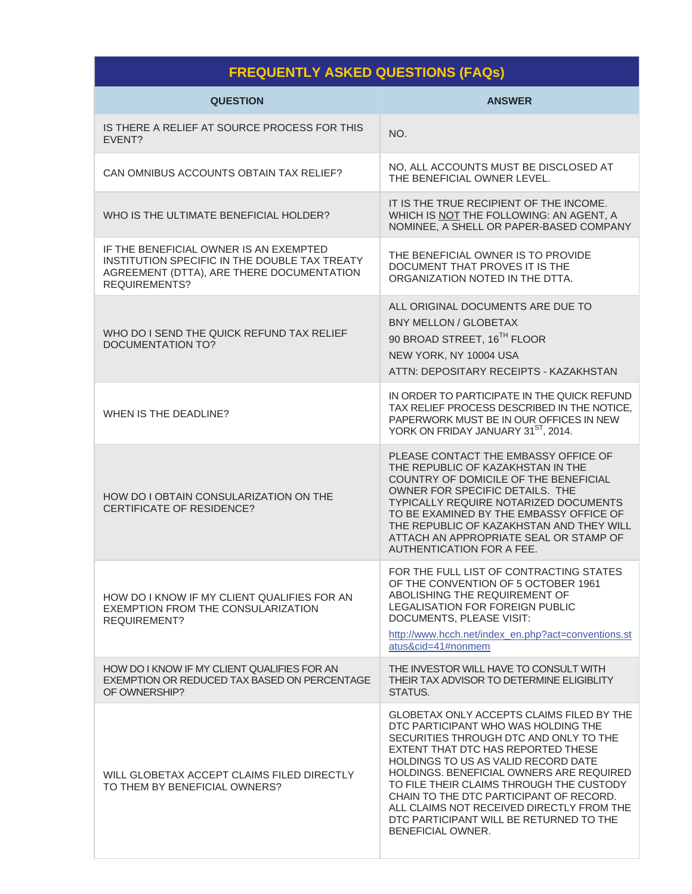# **FREQUENTLY ASKED QUESTIONS (FAQs)**

| <b>QUESTION</b>                                                                                                                                              | <b>ANSWER</b>                                                                                                                                                                                                                                                                                                                                                                                                                                           |
|--------------------------------------------------------------------------------------------------------------------------------------------------------------|---------------------------------------------------------------------------------------------------------------------------------------------------------------------------------------------------------------------------------------------------------------------------------------------------------------------------------------------------------------------------------------------------------------------------------------------------------|
| IS THERE A RELIEF AT SOURCE PROCESS FOR THIS<br>EVENT?                                                                                                       | NO.                                                                                                                                                                                                                                                                                                                                                                                                                                                     |
| CAN OMNIBUS ACCOUNTS OBTAIN TAX RELIEF?                                                                                                                      | NO, ALL ACCOUNTS MUST BE DISCLOSED AT<br>THE BENEFICIAL OWNER LEVEL.                                                                                                                                                                                                                                                                                                                                                                                    |
| WHO IS THE ULTIMATE BENEFICIAL HOLDER?                                                                                                                       | IT IS THE TRUE RECIPIENT OF THE INCOME.<br>WHICH IS NOT THE FOLLOWING: AN AGENT, A<br>NOMINEE, A SHELL OR PAPER-BASED COMPANY                                                                                                                                                                                                                                                                                                                           |
| IF THE BENEFICIAL OWNER IS AN EXEMPTED<br>INSTITUTION SPECIFIC IN THE DOUBLE TAX TREATY<br>AGREEMENT (DTTA), ARE THERE DOCUMENTATION<br><b>REQUIREMENTS?</b> | THE BENEFICIAL OWNER IS TO PROVIDE<br>DOCUMENT THAT PROVES IT IS THE<br>ORGANIZATION NOTED IN THE DTTA.                                                                                                                                                                                                                                                                                                                                                 |
| WHO DO I SEND THE QUICK REFUND TAX RELIEF<br><b>DOCUMENTATION TO?</b>                                                                                        | ALL ORIGINAL DOCUMENTS ARE DUE TO<br><b>BNY MELLON / GLOBETAX</b><br>90 BROAD STREET, 16 <sup>TH</sup> FLOOR<br>NEW YORK, NY 10004 USA<br>ATTN: DEPOSITARY RECEIPTS - KAZAKHSTAN                                                                                                                                                                                                                                                                        |
| WHEN IS THE DEADLINE?                                                                                                                                        | IN ORDER TO PARTICIPATE IN THE QUICK REFUND<br>TAX RELIEF PROCESS DESCRIBED IN THE NOTICE,<br>PAPERWORK MUST BE IN OUR OFFICES IN NEW<br>YORK ON FRIDAY JANUARY 31ST, 2014.                                                                                                                                                                                                                                                                             |
| HOW DO I OBTAIN CONSULARIZATION ON THE<br><b>CERTIFICATE OF RESIDENCE?</b>                                                                                   | PLEASE CONTACT THE EMBASSY OFFICE OF<br>THE REPUBLIC OF KAZAKHSTAN IN THE<br>COUNTRY OF DOMICILE OF THE BENEFICIAL<br>OWNER FOR SPECIFIC DETAILS. THE<br>TYPICALLY REQUIRE NOTARIZED DOCUMENTS<br>TO BE EXAMINED BY THE EMBASSY OFFICE OF<br>THE REPUBLIC OF KAZAKHSTAN AND THEY WILL<br>ATTACH AN APPROPRIATE SEAL OR STAMP OF<br><b>AUTHENTICATION FOR A FEE.</b>                                                                                     |
| HOW DO I KNOW IF MY CLIENT QUALIFIES FOR AN<br>EXEMPTION FROM THE CONSULARIZATION<br><b>REQUIREMENT?</b>                                                     | FOR THE FULL LIST OF CONTRACTING STATES<br>OF THE CONVENTION OF 5 OCTOBER 1961<br>ABOLISHING THE REQUIREMENT OF<br><b>LEGALISATION FOR FOREIGN PUBLIC</b><br>DOCUMENTS, PLEASE VISIT:<br>http://www.hcch.net/index_en.php?act=conventions.st<br>atus&cid=41#nonmem                                                                                                                                                                                      |
| HOW DO I KNOW IF MY CLIENT QUALIFIES FOR AN<br>EXEMPTION OR REDUCED TAX BASED ON PERCENTAGE<br>OF OWNERSHIP?                                                 | THE INVESTOR WILL HAVE TO CONSULT WITH<br>THEIR TAX ADVISOR TO DETERMINE ELIGIBLITY<br>STATUS.                                                                                                                                                                                                                                                                                                                                                          |
| WILL GLOBETAX ACCEPT CLAIMS FILED DIRECTLY<br>TO THEM BY BENEFICIAL OWNERS?                                                                                  | GLOBETAX ONLY ACCEPTS CLAIMS FILED BY THE<br>DTC PARTICIPANT WHO WAS HOLDING THE<br>SECURITIES THROUGH DTC AND ONLY TO THE<br>EXTENT THAT DTC HAS REPORTED THESE<br>HOLDINGS TO US AS VALID RECORD DATE<br>HOLDINGS. BENEFICIAL OWNERS ARE REQUIRED<br>TO FILE THEIR CLAIMS THROUGH THE CUSTODY<br>CHAIN TO THE DTC PARTICIPANT OF RECORD.<br>ALL CLAIMS NOT RECEIVED DIRECTLY FROM THE<br>DTC PARTICIPANT WILL BE RETURNED TO THE<br>BENEFICIAL OWNER. |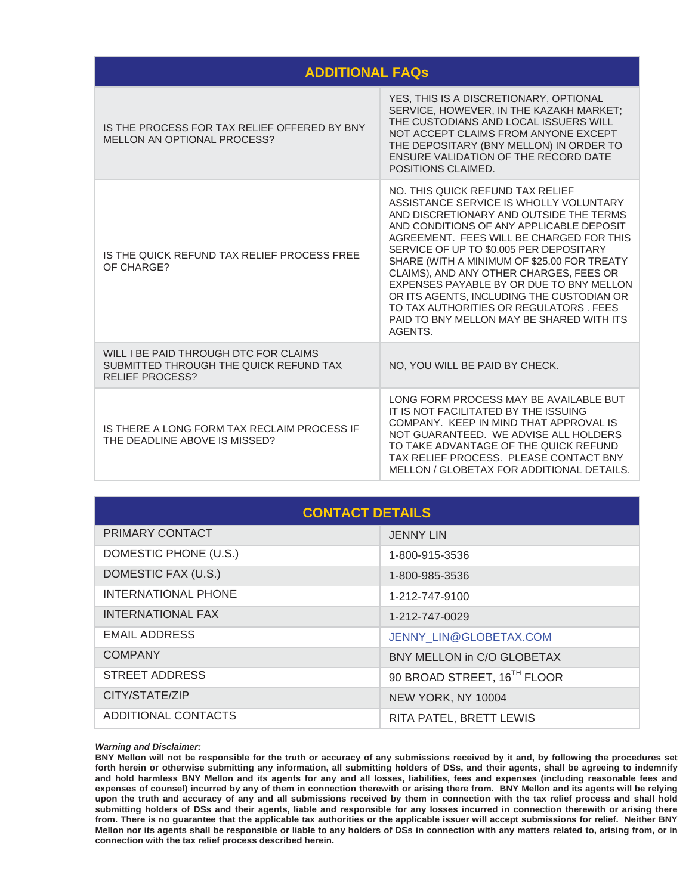### **ADDITIONAL FAQs**

| IS THE PROCESS FOR TAX RELIEF OFFERED BY BNY<br>MELLON AN OPTIONAL PROCESS?                               | YES, THIS IS A DISCRETIONARY, OPTIONAL<br>SERVICE, HOWEVER, IN THE KAZAKH MARKET;<br>THE CUSTODIANS AND LOCAL ISSUERS WILL<br>NOT ACCEPT CLAIMS FROM ANYONE EXCEPT<br>THE DEPOSITARY (BNY MELLON) IN ORDER TO<br>ENSURE VALIDATION OF THE RECORD DATE<br>POSITIONS CLAIMED.                                                                                                                                                                                                                                                                   |
|-----------------------------------------------------------------------------------------------------------|-----------------------------------------------------------------------------------------------------------------------------------------------------------------------------------------------------------------------------------------------------------------------------------------------------------------------------------------------------------------------------------------------------------------------------------------------------------------------------------------------------------------------------------------------|
| IS THE QUICK REFUND TAX RELIEF PROCESS FREE<br>OF CHARGE?                                                 | NO. THIS QUICK REFUND TAX RELIEF<br>ASSISTANCE SERVICE IS WHOLLY VOLUNTARY<br>AND DISCRETIONARY AND OUTSIDE THE TERMS<br>AND CONDITIONS OF ANY APPLICABLE DEPOSIT<br>AGREEMENT. FEES WILL BE CHARGED FOR THIS<br>SERVICE OF UP TO \$0.005 PER DEPOSITARY<br>SHARE (WITH A MINIMUM OF \$25.00 FOR TREATY<br>CLAIMS), AND ANY OTHER CHARGES, FEES OR<br>EXPENSES PAYABLE BY OR DUE TO BNY MELLON<br>OR ITS AGENTS, INCLUDING THE CUSTODIAN OR<br>TO TAX AUTHORITIES OR REGULATORS, FEES<br>PAID TO BNY MELLON MAY BE SHARED WITH ITS<br>AGENTS. |
| WILL I BE PAID THROUGH DTC FOR CLAIMS<br>SUBMITTED THROUGH THE QUICK REFUND TAX<br><b>RELIEF PROCESS?</b> | NO, YOU WILL BE PAID BY CHECK.                                                                                                                                                                                                                                                                                                                                                                                                                                                                                                                |
| IS THERE A LONG FORM TAX RECLAIM PROCESS IF<br>THE DEADLINE ABOVE IS MISSED?                              | LONG FORM PROCESS MAY BE AVAILABLE BUT<br>IT IS NOT FACILITATED BY THE ISSUING<br>COMPANY. KEEP IN MIND THAT APPROVAL IS<br>NOT GUARANTEED. WE ADVISE ALL HOLDERS<br>TO TAKE ADVANTAGE OF THE QUICK REFUND<br>TAX RELIEF PROCESS. PLEASE CONTACT BNY<br>MELLON / GLOBETAX FOR ADDITIONAL DETAILS.                                                                                                                                                                                                                                             |

| <b>CONTACT DETAILS</b> |                             |  |  |  |
|------------------------|-----------------------------|--|--|--|
| PRIMARY CONTACT        | <b>JENNY LIN</b>            |  |  |  |
| DOMESTIC PHONE (U.S.)  | 1-800-915-3536              |  |  |  |
| DOMESTIC FAX (U.S.)    | 1-800-985-3536              |  |  |  |
| INTERNATIONAL PHONE    | 1-212-747-9100              |  |  |  |
| INTERNATIONAL FAX      | 1-212-747-0029              |  |  |  |
| <b>EMAIL ADDRESS</b>   | JENNY LIN@GLOBETAX.COM      |  |  |  |
| <b>COMPANY</b>         | BNY MELLON in C/O GLOBETAX  |  |  |  |
| STREET ADDRESS         | 90 BROAD STREET, 16TH FLOOR |  |  |  |
| CITY/STATE/ZIP         | NEW YORK, NY 10004          |  |  |  |
| ADDITIONAL CONTACTS    | RITA PATEL, BRETT LEWIS     |  |  |  |

*Warning and Disclaimer:* 

**BNY Mellon will not be responsible for the truth or accuracy of any submissions received by it and, by following the procedures set forth herein or otherwise submitting any information, all submitting holders of DSs, and their agents, shall be agreeing to indemnify and hold harmless BNY Mellon and its agents for any and all losses, liabilities, fees and expenses (including reasonable fees and expenses of counsel) incurred by any of them in connection therewith or arising there from. BNY Mellon and its agents will be relying upon the truth and accuracy of any and all submissions received by them in connection with the tax relief process and shall hold submitting holders of DSs and their agents, liable and responsible for any losses incurred in connection therewith or arising there from. There is no guarantee that the applicable tax authorities or the applicable issuer will accept submissions for relief. Neither BNY Mellon nor its agents shall be responsible or liable to any holders of DSs in connection with any matters related to, arising from, or in connection with the tax relief process described herein.**